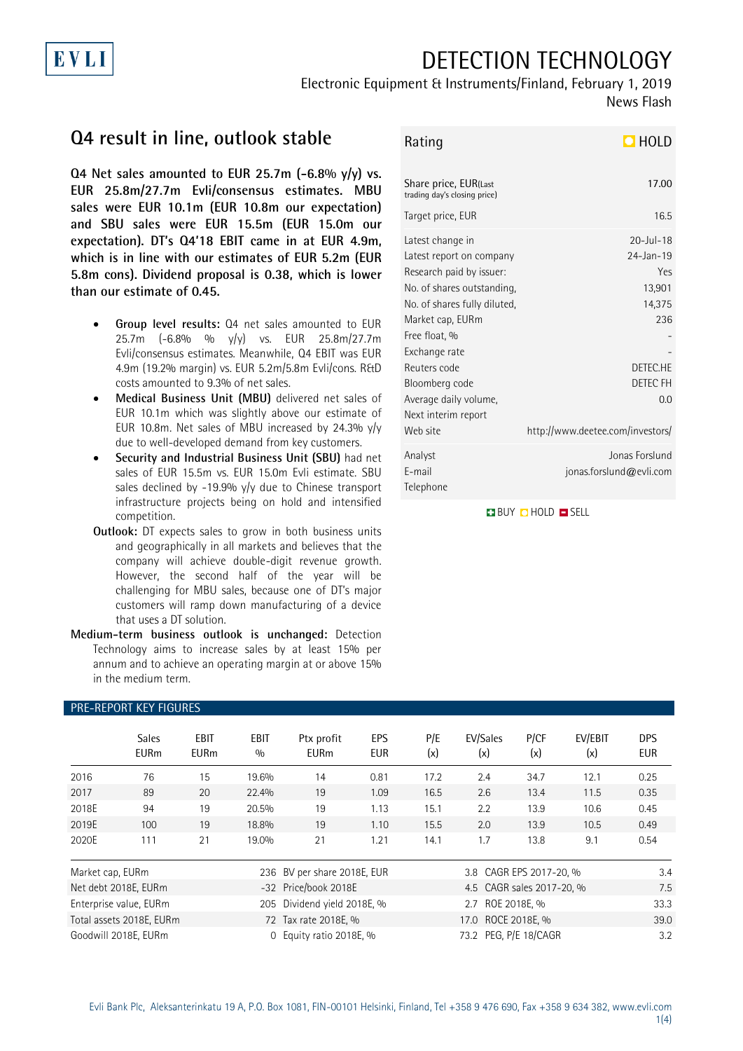## DETECTION TECHNOLOGY

### Electronic Equipment & Instruments/Finland, February 1, 2019

News Flash

## **Q4 result in line, outlook stable**

**Q4 Net sales amounted to EUR 25.7m (-6.8% y/y) vs. EUR 25.8m/27.7m Evli/consensus estimates. MBU sales were EUR 10.1m (EUR 10.8m our expectation) and SBU sales were EUR 15.5m (EUR 15.0m our expectation). DT's Q4'18 EBIT came in at EUR 4.9m, which is in line with our estimates of EUR 5.2m (EUR 5.8m cons). Dividend proposal is 0.38, which is lower than our estimate of 0.45.**

- **Group level results:** Q4 net sales amounted to EUR 25.7m (-6.8% % y/y) vs. EUR 25.8m/27.7m Evli/consensus estimates. Meanwhile, Q4 EBIT was EUR 4.9m (19.2% margin) vs. EUR 5.2m/5.8m Evli/cons. R&D costs amounted to 9.3% of net sales.
- **Medical Business Unit (MBU)** delivered net sales of EUR 10.1m which was slightly above our estimate of EUR 10.8m. Net sales of MBU increased by 24.3% y/y due to well-developed demand from key customers.
- **Security and Industrial Business Unit (SBU)** had net sales of EUR 15.5m vs. EUR 15.0m Evli estimate. SBU sales declined by -19.9% y/y due to Chinese transport infrastructure projects being on hold and intensified competition.
- **Outlook:** DT expects sales to grow in both business units and geographically in all markets and believes that the company will achieve double-digit revenue growth. However, the second half of the year will be challenging for MBU sales, because one of DT's major customers will ramp down manufacturing of a device that uses a DT solution.
- **Medium-term business outlook is unchanged:** Detection Technology aims to increase sales by at least 15% per annum and to achieve an operating margin at or above 15% in the medium term.

# Rating **HOLD**

| Share price, EUR(Last<br>trading day's closing price)                                                                                                                                                                                                                                      | 17.00                                                                                                                                   |
|--------------------------------------------------------------------------------------------------------------------------------------------------------------------------------------------------------------------------------------------------------------------------------------------|-----------------------------------------------------------------------------------------------------------------------------------------|
| Target price, EUR                                                                                                                                                                                                                                                                          | 16.5                                                                                                                                    |
| Latest change in<br>Latest report on company<br>Research paid by issuer:<br>No. of shares outstanding,<br>No. of shares fully diluted,<br>Market cap, EURm<br>Free float, %<br>Exchange rate<br>Reuters code<br>Bloomberg code<br>Average daily volume,<br>Next interim report<br>Web site | $20 -  u  - 18$<br>$24 - Jan - 19$<br>Yes<br>13,901<br>14,375<br>236<br>DETEC.HE<br>DETEC FH<br>0.0<br>http://www.deetee.com/investors/ |
| Analyst<br>F-mail<br>Telephone                                                                                                                                                                                                                                                             | Jonas Forslund<br>jonas.forslund@evli.com                                                                                               |

**BUY Q HOLD O SELL** 

#### PRE-REPORT KEY FIGURES

|                          | <b>Sales</b><br><b>EURm</b> | <b>EBIT</b><br><b>EURm</b> | <b>EBIT</b><br>0/0          | Ptx profit<br><b>EURm</b>   | EPS<br><b>EUR</b> | P/E<br>(x)              | EV/Sales<br>(x)           | P/CF<br>(x) | EV/EBIT<br>(x) | <b>DPS</b><br><b>EUR</b> |
|--------------------------|-----------------------------|----------------------------|-----------------------------|-----------------------------|-------------------|-------------------------|---------------------------|-------------|----------------|--------------------------|
| 2016                     | 76                          | 15                         | 19.6%                       | 14                          | 0.81              | 17.2                    | 2.4                       | 34.7        | 12.1           | 0.25                     |
| 2017                     | 89                          | 20                         | 22.4%                       | 19                          | 1.09              | 16.5                    | 2.6                       | 13.4        | 11.5           | 0.35                     |
| 2018E                    | 94                          | 19                         | 20.5%                       | 19                          | 1.13              | 15.1                    | 2.2                       | 13.9        | 10.6           | 0.45                     |
| 2019E                    | 100                         | 19                         | 18.8%                       | 19                          | 1.10              | 15.5                    | 2.0                       | 13.9        | 10.5           | 0.49                     |
| 2020E                    | 111                         | 21                         | 19.0%                       | 21                          | 1.21              | 14.1                    | 1.7                       | 13.8        | 9.1            | 0.54                     |
| Market cap, EURm         |                             |                            |                             | 236 BV per share 2018E, EUR |                   | 3.8 CAGR EPS 2017-20, % |                           |             |                | 3.4                      |
| Net debt 2018E, EURm     |                             |                            |                             | -32 Price/book 2018E        |                   |                         | 4.5 CAGR sales 2017-20, % |             |                |                          |
| Enterprise value, EURm   |                             |                            | 205 Dividend yield 2018E, % |                             |                   | 2.7 ROE 2018E, %        |                           |             |                |                          |
| Total assets 2018E, EURm |                             |                            | 72 Tax rate 2018E, %        |                             |                   | 17.0 ROCE 2018E, %      |                           |             |                |                          |
| Goodwill 2018E, EURm     |                             |                            | $\Omega$                    | Equity ratio 2018E, %       |                   |                         | 73.2 PEG, P/E 18/CAGR     |             |                |                          |

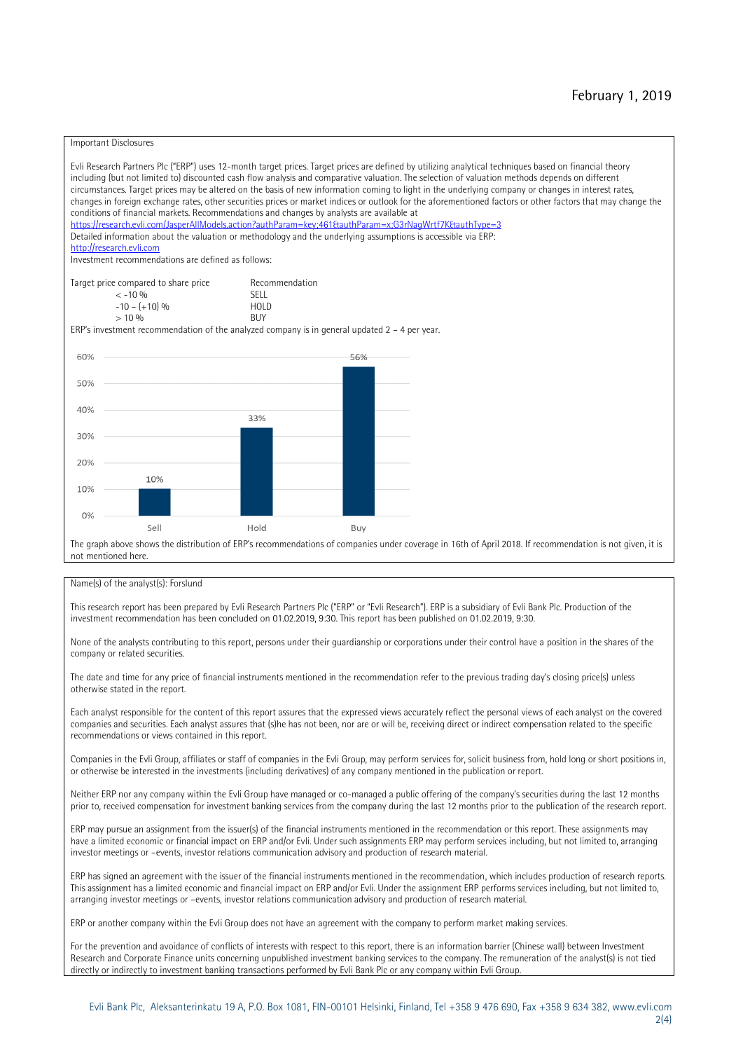#### Important Disclosures

Evli Research Partners Plc ("ERP") uses 12-month target prices. Target prices are defined by utilizing analytical techniques based on financial theory including (but not limited to) discounted cash flow analysis and comparative valuation. The selection of valuation methods depends on different circumstances. Target prices may be altered on the basis of new information coming to light in the underlying company or changes in interest rates, changes in foreign exchange rates, other securities prices or market indices or outlook for the aforementioned factors or other factors that may change the conditions of financial markets. Recommendations and changes by analysts are available at https://research.evli.com/JasperAllModels.action?authParam=key;461&tauthParam=x;G3rNagWrtf7K&tauthType=3 Detailed information about the valuation or methodology and the underlying assumptions is accessible via ERP: [http://research.evli.com](http://research.evli.com/) Investment recommendations are defined as follows: Target price compared to share price Recommendation<br>  $\leq -10\%$  $\langle 5, 10, 10 \rangle$  SELL<br>  $\langle -10, 6, 10 \rangle$  SELL<br>  $\langle 10, 10, 10 \rangle$  $-10 - (+10) \%$  HOL<br>  $> 10 \%$  BUY  $> 10\%$ ERP's investment recommendation of the analyzed company is in general updated  $2 - 4$  per year. 56% 60% 50% 40% 33% 30% 20% 10% 10%  $O%$ Sell Hold Buy

The graph above shows the distribution of ERP's recommendations of companies under coverage in 16th of April 2018. If recommendation is not given, it is not mentioned here.

#### Name(s) of the analyst(s): Forslund

This research report has been prepared by Evli Research Partners Plc ("ERP" or "Evli Research"). ERP is a subsidiary of Evli Bank Plc. Production of the investment recommendation has been concluded on 01.02.2019, 9:30. This report has been published on 01.02.2019, 9:30.

None of the analysts contributing to this report, persons under their guardianship or corporations under their control have a position in the shares of the company or related securities.

The date and time for any price of financial instruments mentioned in the recommendation refer to the previous trading day's closing price(s) unless otherwise stated in the report.

Each analyst responsible for the content of this report assures that the expressed views accurately reflect the personal views of each analyst on the covered companies and securities. Each analyst assures that (s)he has not been, nor are or will be, receiving direct or indirect compensation related to the specific recommendations or views contained in this report.

Companies in the Evli Group, affiliates or staff of companies in the Evli Group, may perform services for, solicit business from, hold long or short positions in, or otherwise be interested in the investments (including derivatives) of any company mentioned in the publication or report.

Neither ERP nor any company within the Evli Group have managed or co-managed a public offering of the company's securities during the last 12 months prior to, received compensation for investment banking services from the company during the last 12 months prior to the publication of the research report.

ERP may pursue an assignment from the issuer(s) of the financial instruments mentioned in the recommendation or this report. These assignments may have a limited economic or financial impact on ERP and/or Evli. Under such assignments ERP may perform services including, but not limited to, arranging investor meetings or –events, investor relations communication advisory and production of research material.

ERP has signed an agreement with the issuer of the financial instruments mentioned in the recommendation, which includes production of research reports. This assignment has a limited economic and financial impact on ERP and/or Evli. Under the assignment ERP performs services including, but not limited to, arranging investor meetings or –events, investor relations communication advisory and production of research material.

ERP or another company within the Evli Group does not have an agreement with the company to perform market making services.

For the prevention and avoidance of conflicts of interests with respect to this report, there is an information barrier (Chinese wall) between Investment Research and Corporate Finance units concerning unpublished investment banking services to the company. The remuneration of the analyst(s) is not tied directly or indirectly to investment banking transactions performed by Evli Bank Plc or any company within Evli Group.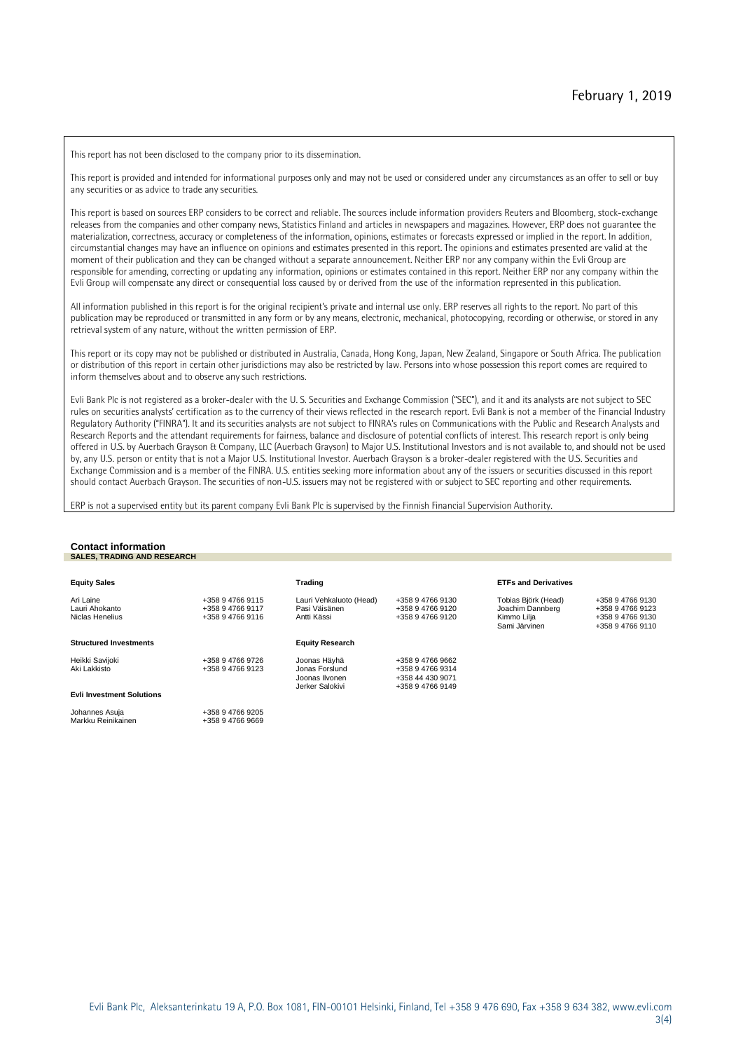This report has not been disclosed to the company prior to its dissemination.

This report is provided and intended for informational purposes only and may not be used or considered under any circumstances as an offer to sell or buy any securities or as advice to trade any securities.

This report is based on sources ERP considers to be correct and reliable. The sources include information providers Reuters and Bloomberg, stock-exchange releases from the companies and other company news, Statistics Finland and articles in newspapers and magazines. However, ERP does not guarantee the materialization, correctness, accuracy or completeness of the information, opinions, estimates or forecasts expressed or implied in the report. In addition, circumstantial changes may have an influence on opinions and estimates presented in this report. The opinions and estimates presented are valid at the moment of their publication and they can be changed without a separate announcement. Neither ERP nor any company within the Evli Group are responsible for amending, correcting or updating any information, opinions or estimates contained in this report. Neither ERP nor any company within the Evli Group will compensate any direct or consequential loss caused by or derived from the use of the information represented in this publication.

All information published in this report is for the original recipient's private and internal use only. ERP reserves all rights to the report. No part of this publication may be reproduced or transmitted in any form or by any means, electronic, mechanical, photocopying, recording or otherwise, or stored in any retrieval system of any nature, without the written permission of ERP.

This report or its copy may not be published or distributed in Australia, Canada, Hong Kong, Japan, New Zealand, Singapore or South Africa. The publication or distribution of this report in certain other jurisdictions may also be restricted by law. Persons into whose possession this report comes are required to inform themselves about and to observe any such restrictions.

Evli Bank Plc is not registered as a broker-dealer with the U. S. Securities and Exchange Commission ("SEC"), and it and its analysts are not subject to SEC rules on securities analysts' certification as to the currency of their views reflected in the research report. Evli Bank is not a member of the Financial Industry Regulatory Authority ("FINRA"). It and its securities analysts are not subject to FINRA's rules on Communications with the Public and Research Analysts and Research Reports and the attendant requirements for fairness, balance and disclosure of potential conflicts of interest. This research report is only being offered in U.S. by Auerbach Grayson & Company, LLC (Auerbach Grayson) to Major U.S. Institutional Investors and is not available to, and should not be used by, any U.S. person or entity that is not a Major U.S. Institutional Investor. Auerbach Grayson is a broker-dealer registered with the U.S. Securities and Exchange Commission and is a member of the FINRA. U.S. entities seeking more information about any of the issuers or securities discussed in this report should contact Auerbach Grayson. The securities of non-U.S. issuers may not be registered with or subject to SEC reporting and other requirements.

ERP is not a supervised entity but its parent company Evli Bank Plc is supervised by the Finnish Financial Supervision Authority.

#### **Contact information SALES, TRADING AND RESEARCH Equity Sales Trading ETFs and Derivatives** Ari Laine +358 9 4766 9115 Lauri Vehkaluoto (Head) +358 9 4766 9130 Tobias Björk (Head) +358 9 4766 9130 en enne en artikus voor de eerste van de eerste van de eerste van de eerste van de eerste van de eerste van de<br>Dichter en aangeste van de eerste van de eerste van de eerste van de eerste van de eerste van de eerste van de Niclas Henelius +358 9 4766 9116 Antti Kässi +358 9 4766 9120 Kimmo Lilja +358 9 4766 9130 +358 9 4766 9110 **Structured Investments Equity Research** Heikki Savijoki +358 9 4766 9726 Joonas Häyhä +358 9 4766 9662 Aki Lakkisto +358 9 4766 9123 Jonas Forslund +358 9 4766 9314 +358 44 430 9071 Joonas Ilvonen Jerker Salokivi +358 9 4766 9149 **Evli Investment Solutions** Johannes Asuja Markku Reinikainen +358 9 4766 9205 +358 9 4766 9669